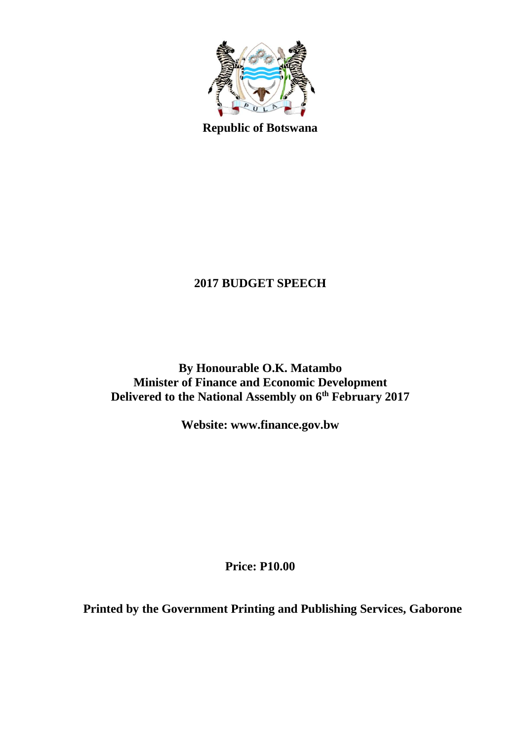

**Republic of Botswana**

# **2017 BUDGET SPEECH**

**By Honourable O.K. Matambo Minister of Finance and Economic Development Delivered to the National Assembly on 6 th February 2017**

**Website: www.finance.gov.bw**

**Price: P10.00**

**Printed by the Government Printing and Publishing Services, Gaborone**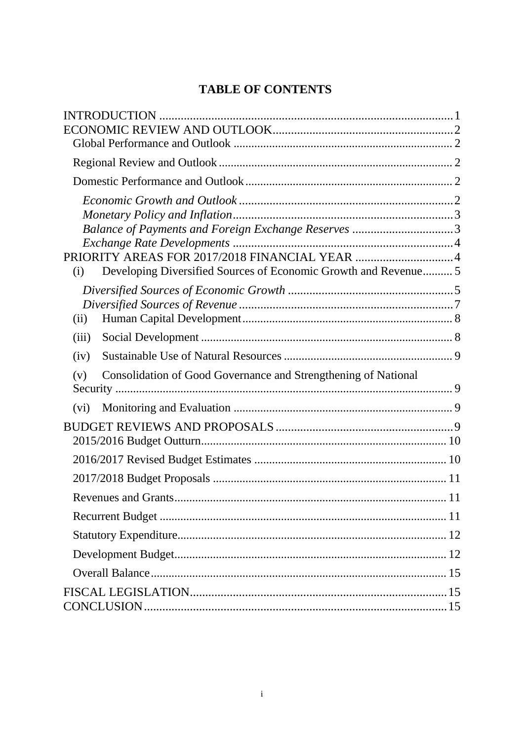# **TABLE OF CONTENTS**

| Balance of Payments and Foreign Exchange Reserves 3                    |  |
|------------------------------------------------------------------------|--|
| PRIORITY AREAS FOR 2017/2018 FINANCIAL YEAR 4                          |  |
| Developing Diversified Sources of Economic Growth and Revenue 5<br>(i) |  |
|                                                                        |  |
|                                                                        |  |
| (ii)                                                                   |  |
| (iii)                                                                  |  |
|                                                                        |  |
| (iv)                                                                   |  |
| Consolidation of Good Governance and Strengthening of National<br>(v)  |  |
|                                                                        |  |
| (vi)                                                                   |  |
|                                                                        |  |
|                                                                        |  |
|                                                                        |  |
|                                                                        |  |
|                                                                        |  |
|                                                                        |  |
|                                                                        |  |
|                                                                        |  |
|                                                                        |  |
|                                                                        |  |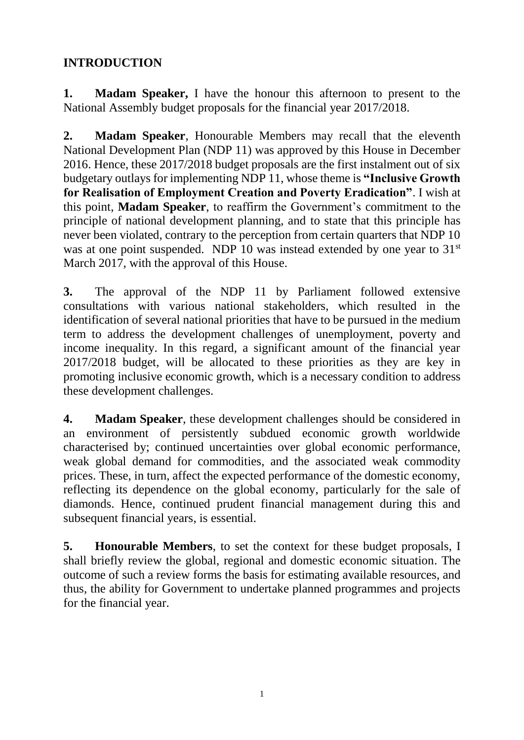# <span id="page-2-0"></span>**INTRODUCTION**

**1. Madam Speaker,** I have the honour this afternoon to present to the National Assembly budget proposals for the financial year 2017/2018.

**2. Madam Speaker**, Honourable Members may recall that the eleventh National Development Plan (NDP 11) was approved by this House in December 2016. Hence, these 2017/2018 budget proposals are the first instalment out of six budgetary outlays for implementing NDP 11, whose theme is **"Inclusive Growth for Realisation of Employment Creation and Poverty Eradication"**. I wish at this point, **Madam Speaker**, to reaffirm the Government's commitment to the principle of national development planning, and to state that this principle has never been violated, contrary to the perception from certain quarters that NDP 10 was at one point suspended. NDP 10 was instead extended by one year to 31<sup>st</sup> March 2017, with the approval of this House.

**3.** The approval of the NDP 11 by Parliament followed extensive consultations with various national stakeholders, which resulted in the identification of several national priorities that have to be pursued in the medium term to address the development challenges of unemployment, poverty and income inequality. In this regard, a significant amount of the financial year 2017/2018 budget, will be allocated to these priorities as they are key in promoting inclusive economic growth, which is a necessary condition to address these development challenges.

**4. Madam Speaker**, these development challenges should be considered in an environment of persistently subdued economic growth worldwide characterised by; continued uncertainties over global economic performance, weak global demand for commodities, and the associated weak commodity prices. These, in turn, affect the expected performance of the domestic economy, reflecting its dependence on the global economy, particularly for the sale of diamonds. Hence, continued prudent financial management during this and subsequent financial years, is essential.

**5. Honourable Members**, to set the context for these budget proposals, I shall briefly review the global, regional and domestic economic situation. The outcome of such a review forms the basis for estimating available resources, and thus, the ability for Government to undertake planned programmes and projects for the financial year.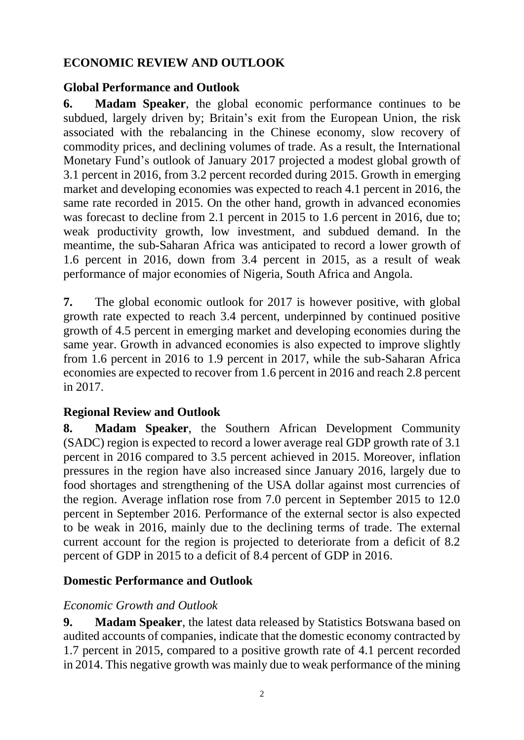## <span id="page-3-0"></span>**ECONOMIC REVIEW AND OUTLOOK**

## <span id="page-3-1"></span>**Global Performance and Outlook**

**6. Madam Speaker**, the global economic performance continues to be subdued, largely driven by; Britain's exit from the European Union, the risk associated with the rebalancing in the Chinese economy, slow recovery of commodity prices, and declining volumes of trade. As a result, the International Monetary Fund's outlook of January 2017 projected a modest global growth of 3.1 percent in 2016, from 3.2 percent recorded during 2015. Growth in emerging market and developing economies was expected to reach 4.1 percent in 2016, the same rate recorded in 2015. On the other hand, growth in advanced economies was forecast to decline from 2.1 percent in 2015 to 1.6 percent in 2016, due to; weak productivity growth, low investment, and subdued demand. In the meantime, the sub-Saharan Africa was anticipated to record a lower growth of 1.6 percent in 2016, down from 3.4 percent in 2015, as a result of weak performance of major economies of Nigeria, South Africa and Angola.

**7.** The global economic outlook for 2017 is however positive, with global growth rate expected to reach 3.4 percent, underpinned by continued positive growth of 4.5 percent in emerging market and developing economies during the same year. Growth in advanced economies is also expected to improve slightly from 1.6 percent in 2016 to 1.9 percent in 2017, while the sub-Saharan Africa economies are expected to recover from 1.6 percent in 2016 and reach 2.8 percent in 2017.

# <span id="page-3-2"></span>**Regional Review and Outlook**

**8. Madam Speaker**, the Southern African Development Community (SADC) region is expected to record a lower average real GDP growth rate of 3.1 percent in 2016 compared to 3.5 percent achieved in 2015. Moreover, inflation pressures in the region have also increased since January 2016, largely due to food shortages and strengthening of the USA dollar against most currencies of the region. Average inflation rose from 7.0 percent in September 2015 to 12.0 percent in September 2016. Performance of the external sector is also expected to be weak in 2016, mainly due to the declining terms of trade. The external current account for the region is projected to deteriorate from a deficit of 8.2 percent of GDP in 2015 to a deficit of 8.4 percent of GDP in 2016.

#### <span id="page-3-3"></span>**Domestic Performance and Outlook**

#### <span id="page-3-4"></span>*Economic Growth and Outlook*

**9. Madam Speaker**, the latest data released by Statistics Botswana based on audited accounts of companies, indicate that the domestic economy contracted by 1.7 percent in 2015, compared to a positive growth rate of 4.1 percent recorded in 2014. This negative growth was mainly due to weak performance of the mining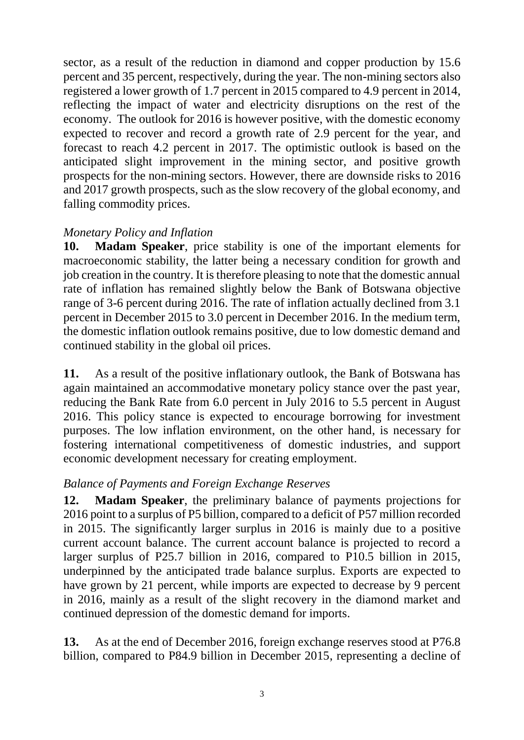sector, as a result of the reduction in diamond and copper production by 15.6 percent and 35 percent, respectively, during the year. The non-mining sectors also registered a lower growth of 1.7 percent in 2015 compared to 4.9 percent in 2014, reflecting the impact of water and electricity disruptions on the rest of the economy. The outlook for 2016 is however positive, with the domestic economy expected to recover and record a growth rate of 2.9 percent for the year, and forecast to reach 4.2 percent in 2017. The optimistic outlook is based on the anticipated slight improvement in the mining sector, and positive growth prospects for the non-mining sectors. However, there are downside risks to 2016 and 2017 growth prospects, such as the slow recovery of the global economy, and falling commodity prices.

#### <span id="page-4-0"></span>*Monetary Policy and Inflation*

**10. Madam Speaker**, price stability is one of the important elements for macroeconomic stability, the latter being a necessary condition for growth and job creation in the country. It is therefore pleasing to note that the domestic annual rate of inflation has remained slightly below the Bank of Botswana objective range of 3-6 percent during 2016. The rate of inflation actually declined from 3.1 percent in December 2015 to 3.0 percent in December 2016. In the medium term, the domestic inflation outlook remains positive, due to low domestic demand and continued stability in the global oil prices.

**11.** As a result of the positive inflationary outlook, the Bank of Botswana has again maintained an accommodative monetary policy stance over the past year, reducing the Bank Rate from 6.0 percent in July 2016 to 5.5 percent in August 2016. This policy stance is expected to encourage borrowing for investment purposes. The low inflation environment, on the other hand, is necessary for fostering international competitiveness of domestic industries, and support economic development necessary for creating employment.

#### <span id="page-4-1"></span>*Balance of Payments and Foreign Exchange Reserves*

**12. Madam Speaker**, the preliminary balance of payments projections for 2016 point to a surplus of P5 billion, compared to a deficit of P57 million recorded in 2015. The significantly larger surplus in 2016 is mainly due to a positive current account balance. The current account balance is projected to record a larger surplus of P25.7 billion in 2016, compared to P10.5 billion in 2015, underpinned by the anticipated trade balance surplus. Exports are expected to have grown by 21 percent, while imports are expected to decrease by 9 percent in 2016, mainly as a result of the slight recovery in the diamond market and continued depression of the domestic demand for imports.

**13.** As at the end of December 2016, foreign exchange reserves stood at P76.8 billion, compared to P84.9 billion in December 2015, representing a decline of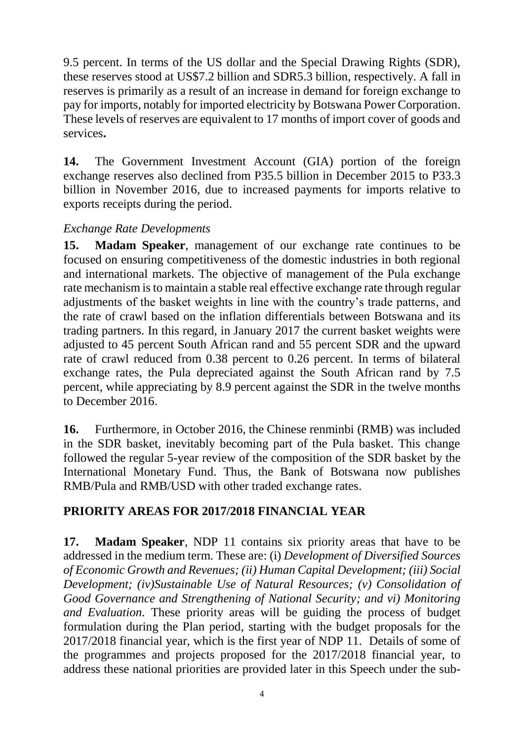9.5 percent. In terms of the US dollar and the Special Drawing Rights (SDR), these reserves stood at US\$7.2 billion and SDR5.3 billion, respectively. A fall in reserves is primarily as a result of an increase in demand for foreign exchange to pay for imports, notably for imported electricity by Botswana Power Corporation. These levels of reserves are equivalent to 17 months of import cover of goods and services**.**

**14.** The Government Investment Account (GIA) portion of the foreign exchange reserves also declined from P35.5 billion in December 2015 to P33.3 billion in November 2016, due to increased payments for imports relative to exports receipts during the period.

#### <span id="page-5-0"></span>*Exchange Rate Developments*

**15. Madam Speaker**, management of our exchange rate continues to be focused on ensuring competitiveness of the domestic industries in both regional and international markets. The objective of management of the Pula exchange rate mechanism is to maintain a stable real effective exchange rate through regular adjustments of the basket weights in line with the country's trade patterns, and the rate of crawl based on the inflation differentials between Botswana and its trading partners. In this regard, in January 2017 the current basket weights were adjusted to 45 percent South African rand and 55 percent SDR and the upward rate of crawl reduced from 0.38 percent to 0.26 percent. In terms of bilateral exchange rates, the Pula depreciated against the South African rand by 7.5 percent, while appreciating by 8.9 percent against the SDR in the twelve months to December 2016.

**16.** Furthermore, in October 2016, the Chinese renminbi (RMB) was included in the SDR basket, inevitably becoming part of the Pula basket. This change followed the regular 5-year review of the composition of the SDR basket by the International Monetary Fund. Thus, the Bank of Botswana now publishes RMB/Pula and RMB/USD with other traded exchange rates.

#### <span id="page-5-1"></span>**PRIORITY AREAS FOR 2017/2018 FINANCIAL YEAR**

**17. Madam Speaker**, NDP 11 contains six priority areas that have to be addressed in the medium term. These are: (i) *Development of Diversified Sources of Economic Growth and Revenues; (ii) Human Capital Development; (iii) Social Development; (iv)Sustainable Use of Natural Resources; (v) Consolidation of Good Governance and Strengthening of National Security; and vi) Monitoring and Evaluation.* These priority areas will be guiding the process of budget formulation during the Plan period, starting with the budget proposals for the 2017/2018 financial year, which is the first year of NDP 11. Details of some of the programmes and projects proposed for the 2017/2018 financial year, to address these national priorities are provided later in this Speech under the sub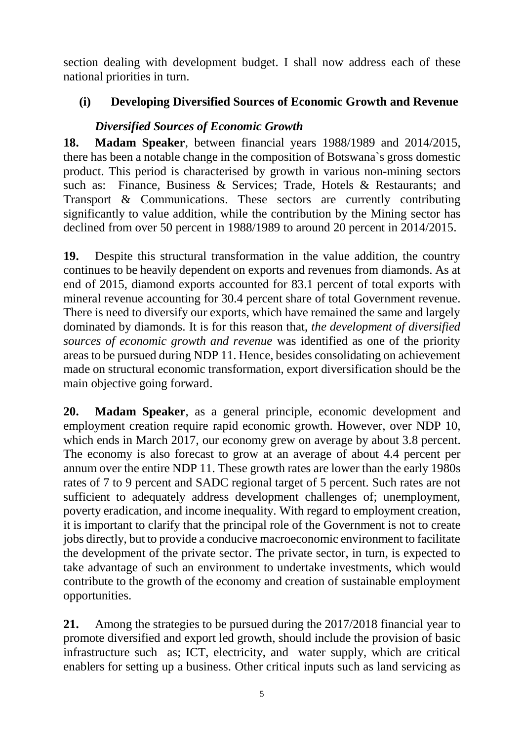section dealing with development budget. I shall now address each of these national priorities in turn.

## <span id="page-6-0"></span>**(i) Developing Diversified Sources of Economic Growth and Revenue**

## *Diversified Sources of Economic Growth*

<span id="page-6-1"></span>**18. Madam Speaker**, between financial years 1988/1989 and 2014/2015, there has been a notable change in the composition of Botswana`s gross domestic product. This period is characterised by growth in various non-mining sectors such as: Finance, Business & Services; Trade, Hotels & Restaurants; and Transport & Communications. These sectors are currently contributing significantly to value addition, while the contribution by the Mining sector has declined from over 50 percent in 1988/1989 to around 20 percent in 2014/2015.

**19.** Despite this structural transformation in the value addition, the country continues to be heavily dependent on exports and revenues from diamonds. As at end of 2015, diamond exports accounted for 83.1 percent of total exports with mineral revenue accounting for 30.4 percent share of total Government revenue. There is need to diversify our exports, which have remained the same and largely dominated by diamonds. It is for this reason that, *the development of diversified sources of economic growth and revenue* was identified as one of the priority areas to be pursued during NDP 11. Hence, besides consolidating on achievement made on structural economic transformation, export diversification should be the main objective going forward.

**20. Madam Speaker**, as a general principle, economic development and employment creation require rapid economic growth. However, over NDP 10, which ends in March 2017, our economy grew on average by about 3.8 percent. The economy is also forecast to grow at an average of about 4.4 percent per annum over the entire NDP 11. These growth rates are lower than the early 1980s rates of 7 to 9 percent and SADC regional target of 5 percent. Such rates are not sufficient to adequately address development challenges of; unemployment, poverty eradication, and income inequality. With regard to employment creation, it is important to clarify that the principal role of the Government is not to create jobs directly, but to provide a conducive macroeconomic environment to facilitate the development of the private sector. The private sector, in turn, is expected to take advantage of such an environment to undertake investments, which would contribute to the growth of the economy and creation of sustainable employment opportunities.

**21.** Among the strategies to be pursued during the 2017/2018 financial year to promote diversified and export led growth, should include the provision of basic infrastructure such as; ICT, electricity, and water supply, which are critical enablers for setting up a business. Other critical inputs such as land servicing as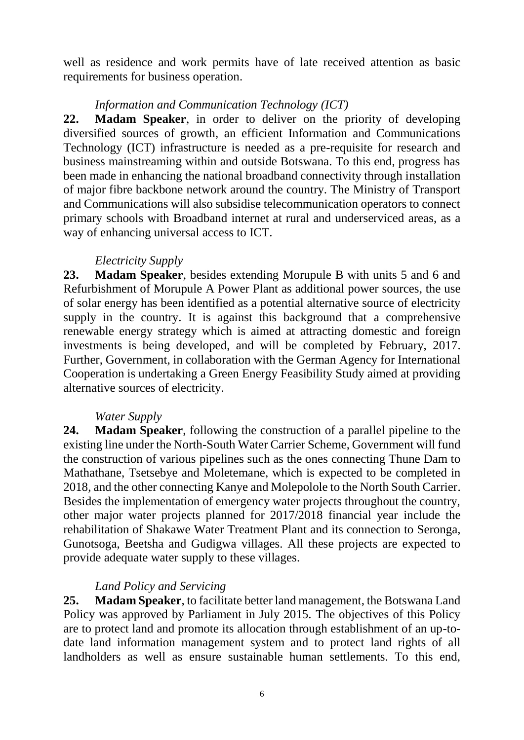well as residence and work permits have of late received attention as basic requirements for business operation.

### *Information and Communication Technology (ICT)*

**22. Madam Speaker**, in order to deliver on the priority of developing diversified sources of growth, an efficient Information and Communications Technology (ICT) infrastructure is needed as a pre-requisite for research and business mainstreaming within and outside Botswana. To this end, progress has been made in enhancing the national broadband connectivity through installation of major fibre backbone network around the country. The Ministry of Transport and Communications will also subsidise telecommunication operators to connect primary schools with Broadband internet at rural and underserviced areas, as a way of enhancing universal access to ICT.

## *Electricity Supply*

**23. Madam Speaker**, besides extending Morupule B with units 5 and 6 and Refurbishment of Morupule A Power Plant as additional power sources, the use of solar energy has been identified as a potential alternative source of electricity supply in the country. It is against this background that a comprehensive renewable energy strategy which is aimed at attracting domestic and foreign investments is being developed, and will be completed by February, 2017. Further, Government, in collaboration with the German Agency for International Cooperation is undertaking a Green Energy Feasibility Study aimed at providing alternative sources of electricity.

#### *Water Supply*

**24. Madam Speaker**, following the construction of a parallel pipeline to the existing line under the North-South Water Carrier Scheme, Government will fund the construction of various pipelines such as the ones connecting Thune Dam to Mathathane, Tsetsebye and Moletemane, which is expected to be completed in 2018, and the other connecting Kanye and Molepolole to the North South Carrier. Besides the implementation of emergency water projects throughout the country, other major water projects planned for 2017/2018 financial year include the rehabilitation of Shakawe Water Treatment Plant and its connection to Seronga, Gunotsoga, Beetsha and Gudigwa villages. All these projects are expected to provide adequate water supply to these villages.

# *Land Policy and Servicing*

**25. Madam Speaker**, to facilitate better land management, the Botswana Land Policy was approved by Parliament in July 2015. The objectives of this Policy are to protect land and promote its allocation through establishment of an up-todate land information management system and to protect land rights of all landholders as well as ensure sustainable human settlements. To this end,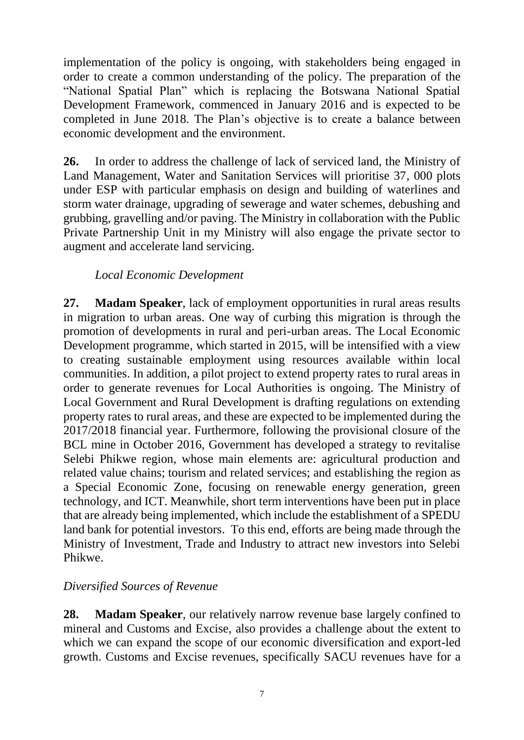implementation of the policy is ongoing, with stakeholders being engaged in order to create a common understanding of the policy. The preparation of the "National Spatial Plan" which is replacing the Botswana National Spatial Development Framework, commenced in January 2016 and is expected to be completed in June 2018. The Plan's objective is to create a balance between economic development and the environment.

**26.** In order to address the challenge of lack of serviced land, the Ministry of Land Management, Water and Sanitation Services will prioritise 37, 000 plots under ESP with particular emphasis on design and building of waterlines and storm water drainage, upgrading of sewerage and water schemes, debushing and grubbing, gravelling and/or paving. The Ministry in collaboration with the Public Private Partnership Unit in my Ministry will also engage the private sector to augment and accelerate land servicing.

#### *Local Economic Development*

<span id="page-8-0"></span>**27. Madam Speaker**, lack of employment opportunities in rural areas results in migration to urban areas. One way of curbing this migration is through the promotion of developments in rural and peri-urban areas. The Local Economic Development programme, which started in 2015, will be intensified with a view to creating sustainable employment using resources available within local communities. In addition, a pilot project to extend property rates to rural areas in order to generate revenues for Local Authorities is ongoing. The Ministry of Local Government and Rural Development is drafting regulations on extending property rates to rural areas, and these are expected to be implemented during the 2017/2018 financial year. Furthermore, following the provisional closure of the BCL mine in October 2016, Government has developed a strategy to revitalise Selebi Phikwe region, whose main elements are: agricultural production and related value chains; tourism and related services; and establishing the region as a Special Economic Zone, focusing on renewable energy generation, green technology, and ICT. Meanwhile, short term interventions have been put in place that are already being implemented, which include the establishment of a SPEDU land bank for potential investors. To this end, efforts are being made through the Ministry of Investment, Trade and Industry to attract new investors into Selebi Phikwe.

#### *Diversified Sources of Revenue*

**28. Madam Speaker**, our relatively narrow revenue base largely confined to mineral and Customs and Excise, also provides a challenge about the extent to which we can expand the scope of our economic diversification and export-led growth. Customs and Excise revenues, specifically SACU revenues have for a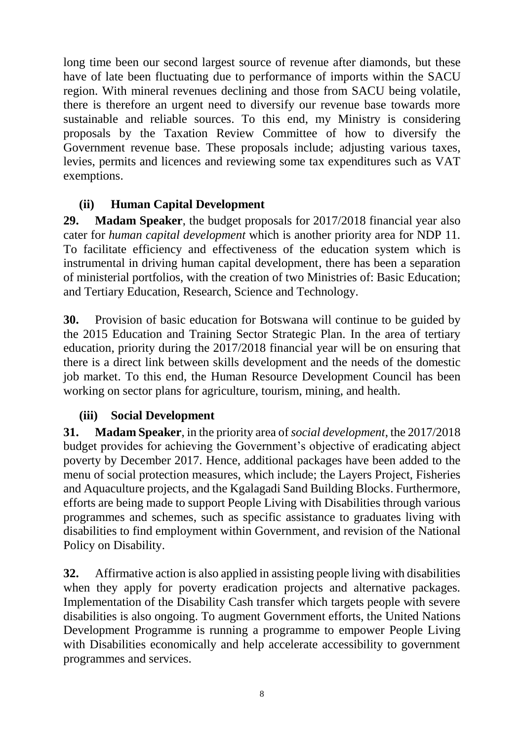long time been our second largest source of revenue after diamonds, but these have of late been fluctuating due to performance of imports within the SACU region. With mineral revenues declining and those from SACU being volatile, there is therefore an urgent need to diversify our revenue base towards more sustainable and reliable sources. To this end, my Ministry is considering proposals by the Taxation Review Committee of how to diversify the Government revenue base. These proposals include; adjusting various taxes, levies, permits and licences and reviewing some tax expenditures such as VAT exemptions.

# **(ii) Human Capital Development**

<span id="page-9-0"></span>**29. Madam Speaker**, the budget proposals for 2017/2018 financial year also cater for *human capital development* which is another priority area for NDP 11*.*  To facilitate efficiency and effectiveness of the education system which is instrumental in driving human capital development, there has been a separation of ministerial portfolios, with the creation of two Ministries of: Basic Education; and Tertiary Education, Research, Science and Technology.

**30.** Provision of basic education for Botswana will continue to be guided by the 2015 Education and Training Sector Strategic Plan. In the area of tertiary education, priority during the 2017/2018 financial year will be on ensuring that there is a direct link between skills development and the needs of the domestic job market. To this end, the Human Resource Development Council has been working on sector plans for agriculture, tourism, mining, and health.

#### <span id="page-9-1"></span>**(iii) Social Development**

**31. Madam Speaker**, in the priority area of *social development*, the 2017/2018 budget provides for achieving the Government's objective of eradicating abject poverty by December 2017. Hence, additional packages have been added to the menu of social protection measures, which include; the Layers Project, Fisheries and Aquaculture projects, and the Kgalagadi Sand Building Blocks. Furthermore, efforts are being made to support People Living with Disabilities through various programmes and schemes, such as specific assistance to graduates living with disabilities to find employment within Government, and revision of the National Policy on Disability.

**32.** Affirmative action is also applied in assisting people living with disabilities when they apply for poverty eradication projects and alternative packages. Implementation of the Disability Cash transfer which targets people with severe disabilities is also ongoing. To augment Government efforts, the United Nations Development Programme is running a programme to empower People Living with Disabilities economically and help accelerate accessibility to government programmes and services.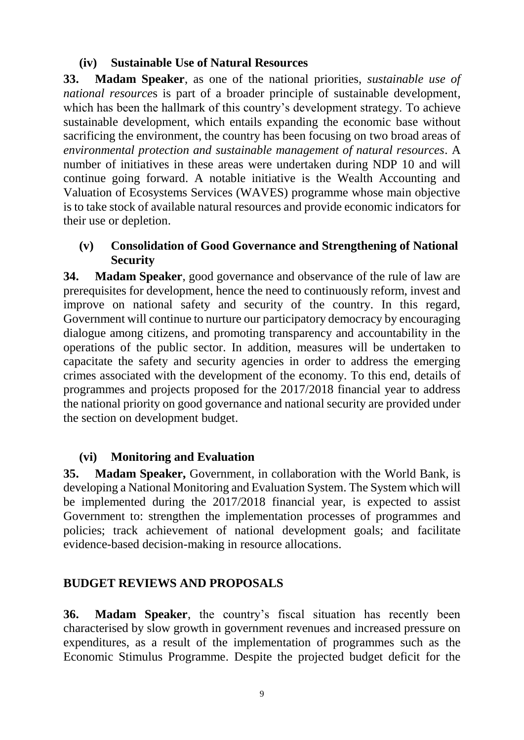### **(iv) Sustainable Use of Natural Resources**

<span id="page-10-0"></span>**33. Madam Speaker**, as one of the national priorities, *sustainable use of national resource*s is part of a broader principle of sustainable development, which has been the hallmark of this country's development strategy. To achieve sustainable development, which entails expanding the economic base without sacrificing the environment, the country has been focusing on two broad areas of *environmental protection and sustainable management of natural resources*. A number of initiatives in these areas were undertaken during NDP 10 and will continue going forward. A notable initiative is the Wealth Accounting and Valuation of Ecosystems Services (WAVES) programme whose main objective is to take stock of available natural resources and provide economic indicators for their use or depletion.

### <span id="page-10-1"></span>**(v) Consolidation of Good Governance and Strengthening of National Security**

**34. Madam Speaker**, good governance and observance of the rule of law are prerequisites for development, hence the need to continuously reform, invest and improve on national safety and security of the country. In this regard, Government will continue to nurture our participatory democracy by encouraging dialogue among citizens, and promoting transparency and accountability in the operations of the public sector. In addition, measures will be undertaken to capacitate the safety and security agencies in order to address the emerging crimes associated with the development of the economy. To this end, details of programmes and projects proposed for the 2017/2018 financial year to address the national priority on good governance and national security are provided under the section on development budget.

#### <span id="page-10-2"></span>**(vi) Monitoring and Evaluation**

**35. Madam Speaker,** Government, in collaboration with the World Bank, is developing a National Monitoring and Evaluation System. The System which will be implemented during the 2017/2018 financial year, is expected to assist Government to: strengthen the implementation processes of programmes and policies; track achievement of national development goals; and facilitate evidence-based decision-making in resource allocations.

# <span id="page-10-3"></span>**BUDGET REVIEWS AND PROPOSALS**

**36. Madam Speaker**, the country's fiscal situation has recently been characterised by slow growth in government revenues and increased pressure on expenditures, as a result of the implementation of programmes such as the Economic Stimulus Programme. Despite the projected budget deficit for the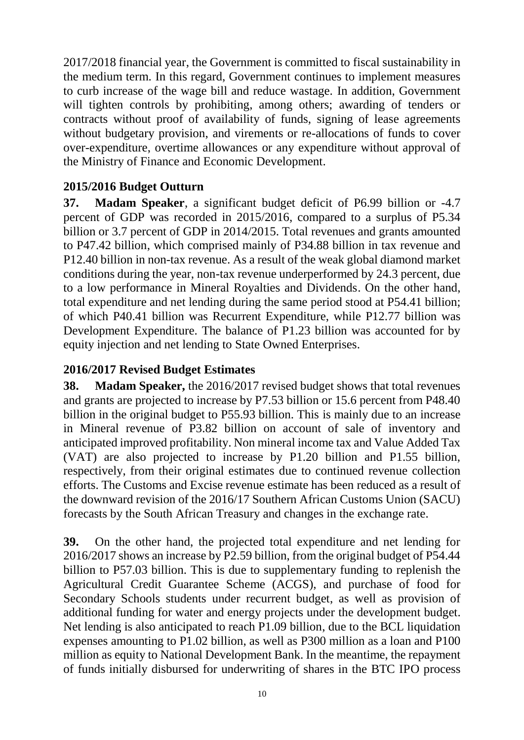2017/2018 financial year, the Government is committed to fiscal sustainability in the medium term. In this regard, Government continues to implement measures to curb increase of the wage bill and reduce wastage. In addition, Government will tighten controls by prohibiting, among others; awarding of tenders or contracts without proof of availability of funds, signing of lease agreements without budgetary provision, and virements or re-allocations of funds to cover over-expenditure, overtime allowances or any expenditure without approval of the Ministry of Finance and Economic Development.

## <span id="page-11-0"></span>**2015/2016 Budget Outturn**

**37. Madam Speaker**, a significant budget deficit of P6.99 billion or -4.7 percent of GDP was recorded in 2015/2016, compared to a surplus of P5.34 billion or 3.7 percent of GDP in 2014/2015. Total revenues and grants amounted to P47.42 billion, which comprised mainly of P34.88 billion in tax revenue and P12.40 billion in non-tax revenue. As a result of the weak global diamond market conditions during the year, non-tax revenue underperformed by 24.3 percent, due to a low performance in Mineral Royalties and Dividends. On the other hand, total expenditure and net lending during the same period stood at P54.41 billion; of which P40.41 billion was Recurrent Expenditure, while P12.77 billion was Development Expenditure. The balance of P1.23 billion was accounted for by equity injection and net lending to State Owned Enterprises.

## <span id="page-11-1"></span>**2016/2017 Revised Budget Estimates**

**38. Madam Speaker,** the 2016/2017 revised budget shows that total revenues and grants are projected to increase by P7.53 billion or 15.6 percent from P48.40 billion in the original budget to P55.93 billion. This is mainly due to an increase in Mineral revenue of P3.82 billion on account of sale of inventory and anticipated improved profitability. Non mineral income tax and Value Added Tax (VAT) are also projected to increase by P1.20 billion and P1.55 billion, respectively, from their original estimates due to continued revenue collection efforts. The Customs and Excise revenue estimate has been reduced as a result of the downward revision of the 2016/17 Southern African Customs Union (SACU) forecasts by the South African Treasury and changes in the exchange rate.

**39.** On the other hand, the projected total expenditure and net lending for 2016/2017 shows an increase by P2.59 billion, from the original budget of P54.44 billion to P57.03 billion. This is due to supplementary funding to replenish the Agricultural Credit Guarantee Scheme (ACGS), and purchase of food for Secondary Schools students under recurrent budget, as well as provision of additional funding for water and energy projects under the development budget. Net lending is also anticipated to reach P1.09 billion, due to the BCL liquidation expenses amounting to P1.02 billion, as well as P300 million as a loan and P100 million as equity to National Development Bank. In the meantime, the repayment of funds initially disbursed for underwriting of shares in the BTC IPO process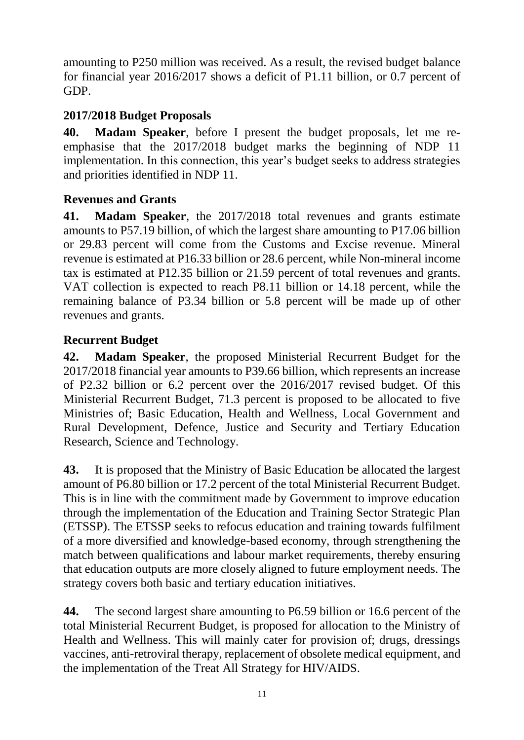amounting to P250 million was received. As a result, the revised budget balance for financial year 2016/2017 shows a deficit of P1.11 billion, or 0.7 percent of GDP.

## <span id="page-12-0"></span>**2017/2018 Budget Proposals**

**40. Madam Speaker**, before I present the budget proposals, let me reemphasise that the 2017/2018 budget marks the beginning of NDP 11 implementation. In this connection, this year's budget seeks to address strategies and priorities identified in NDP 11.

#### <span id="page-12-1"></span>**Revenues and Grants**

**41. Madam Speaker**, the 2017/2018 total revenues and grants estimate amounts to P57.19 billion, of which the largest share amounting to P17.06 billion or 29.83 percent will come from the Customs and Excise revenue. Mineral revenue is estimated at P16.33 billion or 28.6 percent, while Non-mineral income tax is estimated at P12.35 billion or 21.59 percent of total revenues and grants. VAT collection is expected to reach P8.11 billion or 14.18 percent, while the remaining balance of P3.34 billion or 5.8 percent will be made up of other revenues and grants.

#### <span id="page-12-2"></span>**Recurrent Budget**

**42. Madam Speaker**, the proposed Ministerial Recurrent Budget for the 2017/2018 financial year amounts to P39.66 billion, which represents an increase of P2.32 billion or 6.2 percent over the 2016/2017 revised budget. Of this Ministerial Recurrent Budget, 71.3 percent is proposed to be allocated to five Ministries of; Basic Education, Health and Wellness, Local Government and Rural Development, Defence, Justice and Security and Tertiary Education Research, Science and Technology.

**43.** It is proposed that the Ministry of Basic Education be allocated the largest amount of P6.80 billion or 17.2 percent of the total Ministerial Recurrent Budget. This is in line with the commitment made by Government to improve education through the implementation of the Education and Training Sector Strategic Plan (ETSSP). The ETSSP seeks to refocus education and training towards fulfilment of a more diversified and knowledge-based economy, through strengthening the match between qualifications and labour market requirements, thereby ensuring that education outputs are more closely aligned to future employment needs. The strategy covers both basic and tertiary education initiatives.

**44.** The second largest share amounting to P6.59 billion or 16.6 percent of the total Ministerial Recurrent Budget, is proposed for allocation to the Ministry of Health and Wellness. This will mainly cater for provision of; drugs, dressings vaccines, anti-retroviral therapy, replacement of obsolete medical equipment, and the implementation of the Treat All Strategy for HIV/AIDS.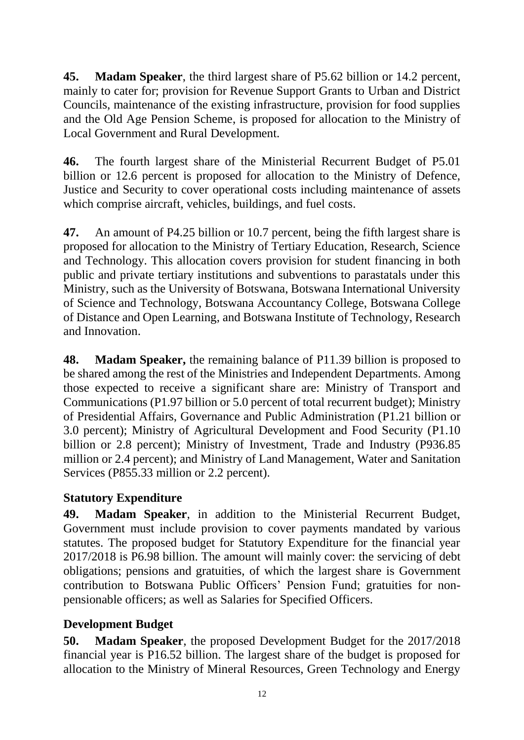**45. Madam Speaker**, the third largest share of P5.62 billion or 14.2 percent, mainly to cater for; provision for Revenue Support Grants to Urban and District Councils, maintenance of the existing infrastructure, provision for food supplies and the Old Age Pension Scheme, is proposed for allocation to the Ministry of Local Government and Rural Development.

**46.** The fourth largest share of the Ministerial Recurrent Budget of P5.01 billion or 12.6 percent is proposed for allocation to the Ministry of Defence, Justice and Security to cover operational costs including maintenance of assets which comprise aircraft, vehicles, buildings, and fuel costs.

**47.** An amount of P4.25 billion or 10.7 percent, being the fifth largest share is proposed for allocation to the Ministry of Tertiary Education, Research, Science and Technology. This allocation covers provision for student financing in both public and private tertiary institutions and subventions to parastatals under this Ministry, such as the University of Botswana, Botswana International University of Science and Technology, Botswana Accountancy College, Botswana College of Distance and Open Learning, and Botswana Institute of Technology, Research and Innovation.

**48. Madam Speaker,** the remaining balance of P11.39 billion is proposed to be shared among the rest of the Ministries and Independent Departments. Among those expected to receive a significant share are: Ministry of Transport and Communications (P1.97 billion or 5.0 percent of total recurrent budget); Ministry of Presidential Affairs, Governance and Public Administration (P1.21 billion or 3.0 percent); Ministry of Agricultural Development and Food Security (P1.10 billion or 2.8 percent); Ministry of Investment, Trade and Industry (P936.85 million or 2.4 percent); and Ministry of Land Management, Water and Sanitation Services (P855.33 million or 2.2 percent).

# <span id="page-13-0"></span>**Statutory Expenditure**

**49. Madam Speaker**, in addition to the Ministerial Recurrent Budget, Government must include provision to cover payments mandated by various statutes. The proposed budget for Statutory Expenditure for the financial year 2017/2018 is P6.98 billion. The amount will mainly cover: the servicing of debt obligations; pensions and gratuities, of which the largest share is Government contribution to Botswana Public Officers' Pension Fund; gratuities for nonpensionable officers; as well as Salaries for Specified Officers.

# <span id="page-13-1"></span>**Development Budget**

**50. Madam Speaker**, the proposed Development Budget for the 2017/2018 financial year is P16.52 billion. The largest share of the budget is proposed for allocation to the Ministry of Mineral Resources, Green Technology and Energy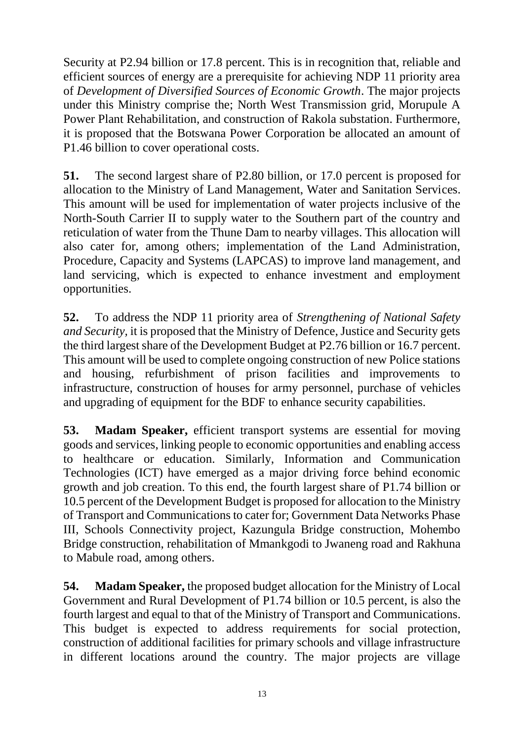Security at P2.94 billion or 17.8 percent. This is in recognition that, reliable and efficient sources of energy are a prerequisite for achieving NDP 11 priority area of *Development of Diversified Sources of Economic Growth*. The major projects under this Ministry comprise the; North West Transmission grid, Morupule A Power Plant Rehabilitation, and construction of Rakola substation. Furthermore, it is proposed that the Botswana Power Corporation be allocated an amount of P1.46 billion to cover operational costs.

**51.** The second largest share of P2.80 billion, or 17.0 percent is proposed for allocation to the Ministry of Land Management, Water and Sanitation Services. This amount will be used for implementation of water projects inclusive of the North-South Carrier II to supply water to the Southern part of the country and reticulation of water from the Thune Dam to nearby villages. This allocation will also cater for, among others; implementation of the Land Administration, Procedure, Capacity and Systems (LAPCAS) to improve land management, and land servicing, which is expected to enhance investment and employment opportunities.

**52.** To address the NDP 11 priority area of *Strengthening of National Safety and Security,* it is proposed that the Ministry of Defence, Justice and Security gets the third largest share of the Development Budget at P2.76 billion or 16.7 percent. This amount will be used to complete ongoing construction of new Police stations and housing, refurbishment of prison facilities and improvements to infrastructure, construction of houses for army personnel, purchase of vehicles and upgrading of equipment for the BDF to enhance security capabilities.

**53. Madam Speaker,** efficient transport systems are essential for moving goods and services, linking people to economic opportunities and enabling access to healthcare or education. Similarly, Information and Communication Technologies (ICT) have emerged as a major driving force behind economic growth and job creation. To this end, the fourth largest share of P1.74 billion or 10.5 percent of the Development Budget is proposed for allocation to the Ministry of Transport and Communications to cater for; Government Data Networks Phase III, Schools Connectivity project, Kazungula Bridge construction, Mohembo Bridge construction, rehabilitation of Mmankgodi to Jwaneng road and Rakhuna to Mabule road, among others.

**54. Madam Speaker,** the proposed budget allocation for the Ministry of Local Government and Rural Development of P1.74 billion or 10.5 percent, is also the fourth largest and equal to that of the Ministry of Transport and Communications. This budget is expected to address requirements for social protection, construction of additional facilities for primary schools and village infrastructure in different locations around the country. The major projects are village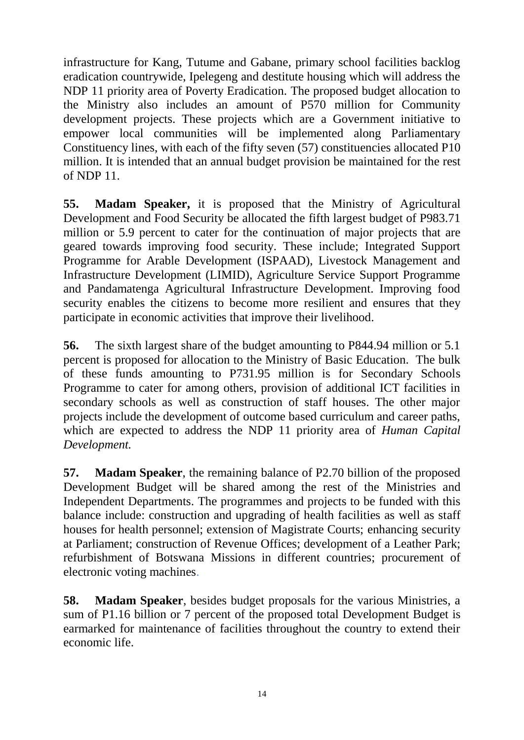infrastructure for Kang, Tutume and Gabane, primary school facilities backlog eradication countrywide, Ipelegeng and destitute housing which will address the NDP 11 priority area of Poverty Eradication. The proposed budget allocation to the Ministry also includes an amount of P570 million for Community development projects. These projects which are a Government initiative to empower local communities will be implemented along Parliamentary Constituency lines, with each of the fifty seven (57) constituencies allocated P10 million. It is intended that an annual budget provision be maintained for the rest of NDP 11.

**55. Madam Speaker,** it is proposed that the Ministry of Agricultural Development and Food Security be allocated the fifth largest budget of P983.71 million or 5.9 percent to cater for the continuation of major projects that are geared towards improving food security. These include; Integrated Support Programme for Arable Development (ISPAAD), Livestock Management and Infrastructure Development (LIMID), Agriculture Service Support Programme and Pandamatenga Agricultural Infrastructure Development. Improving food security enables the citizens to become more resilient and ensures that they participate in economic activities that improve their livelihood.

**56.** The sixth largest share of the budget amounting to P844.94 million or 5.1 percent is proposed for allocation to the Ministry of Basic Education. The bulk of these funds amounting to P731.95 million is for Secondary Schools Programme to cater for among others, provision of additional ICT facilities in secondary schools as well as construction of staff houses. The other major projects include the development of outcome based curriculum and career paths, which are expected to address the NDP 11 priority area of *Human Capital Development.* 

**57. Madam Speaker**, the remaining balance of P2.70 billion of the proposed Development Budget will be shared among the rest of the Ministries and Independent Departments. The programmes and projects to be funded with this balance include: construction and upgrading of health facilities as well as staff houses for health personnel; extension of Magistrate Courts; enhancing security at Parliament; construction of Revenue Offices; development of a Leather Park; refurbishment of Botswana Missions in different countries; procurement of electronic voting machines.

**58. Madam Speaker**, besides budget proposals for the various Ministries, a sum of P1.16 billion or 7 percent of the proposed total Development Budget is earmarked for maintenance of facilities throughout the country to extend their economic life.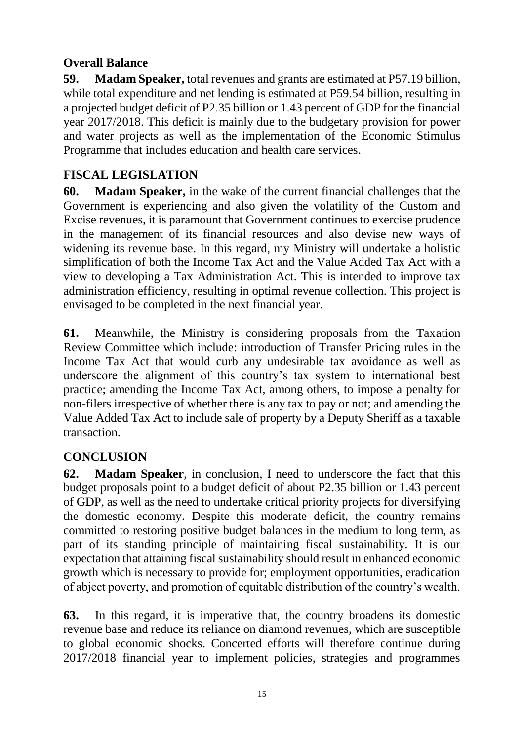## <span id="page-16-0"></span>**Overall Balance**

**59. Madam Speaker,** total revenues and grants are estimated at P57.19 billion, while total expenditure and net lending is estimated at P59.54 billion, resulting in a projected budget deficit of P2.35 billion or 1.43 percent of GDP for the financial year 2017/2018. This deficit is mainly due to the budgetary provision for power and water projects as well as the implementation of the Economic Stimulus Programme that includes education and health care services.

# <span id="page-16-1"></span>**FISCAL LEGISLATION**

**60. Madam Speaker,** in the wake of the current financial challenges that the Government is experiencing and also given the volatility of the Custom and Excise revenues, it is paramount that Government continues to exercise prudence in the management of its financial resources and also devise new ways of widening its revenue base. In this regard, my Ministry will undertake a holistic simplification of both the Income Tax Act and the Value Added Tax Act with a view to developing a Tax Administration Act. This is intended to improve tax administration efficiency, resulting in optimal revenue collection. This project is envisaged to be completed in the next financial year.

**61.** Meanwhile, the Ministry is considering proposals from the Taxation Review Committee which include: introduction of Transfer Pricing rules in the Income Tax Act that would curb any undesirable tax avoidance as well as underscore the alignment of this country's tax system to international best practice; amending the Income Tax Act, among others, to impose a penalty for non-filers irrespective of whether there is any tax to pay or not; and amending the Value Added Tax Act to include sale of property by a Deputy Sheriff as a taxable transaction.

# <span id="page-16-2"></span>**CONCLUSION**

**62. Madam Speaker**, in conclusion, I need to underscore the fact that this budget proposals point to a budget deficit of about P2.35 billion or 1.43 percent of GDP, as well as the need to undertake critical priority projects for diversifying the domestic economy. Despite this moderate deficit, the country remains committed to restoring positive budget balances in the medium to long term, as part of its standing principle of maintaining fiscal sustainability. It is our expectation that attaining fiscal sustainability should result in enhanced economic growth which is necessary to provide for; employment opportunities, eradication of abject poverty, and promotion of equitable distribution of the country's wealth.

**63.** In this regard, it is imperative that, the country broadens its domestic revenue base and reduce its reliance on diamond revenues, which are susceptible to global economic shocks. Concerted efforts will therefore continue during 2017/2018 financial year to implement policies, strategies and programmes